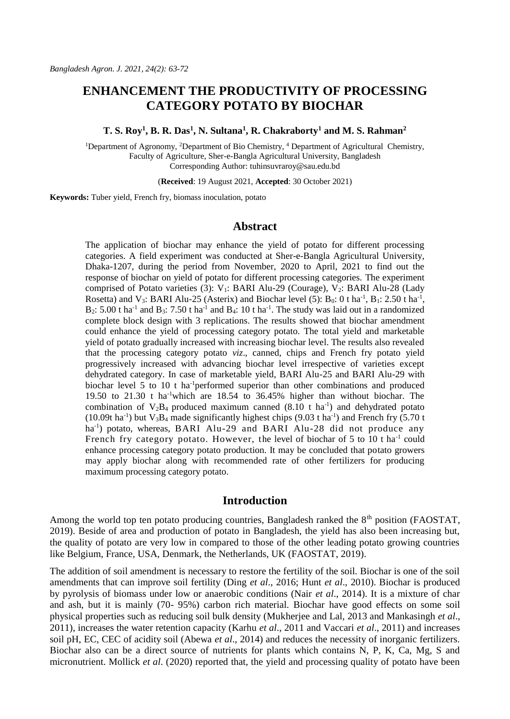# **ENHANCEMENT THE PRODUCTIVITY OF PROCESSING CATEGORY POTATO BY BIOCHAR**

#### **T. S. Roy<sup>1</sup> , B. R. Das<sup>1</sup> , N. Sultana<sup>1</sup> , R. Chakraborty<sup>1</sup> and M. S. Rahman<sup>2</sup>**

<sup>1</sup>Department of Agronomy, <sup>2</sup>Department of Bio Chemistry, <sup>4</sup> Department of Agricultural Chemistry, Faculty of Agriculture, Sher-e-Bangla Agricultural University, Bangladesh Corresponding Author: tuhinsuvraroy@sau.edu.bd

(**Received**: 19 August 2021, **Accepted**: 30 October 2021)

**Keywords:** Tuber yield, French fry, biomass inoculation, potato

# **Abstract**

The application of biochar may enhance the yield of potato for different processing categories. A field experiment was conducted at Sher-e-Bangla Agricultural University, Dhaka-1207, during the period from November, 2020 to April, 2021 to find out the response of biochar on yield of potato for different processing categories. The experiment comprised of Potato varieties (3): V<sub>1</sub>: BARI Alu-29 (Courage), V<sub>2</sub>: BARI Alu-28 (Lady Rosetta) and V<sub>3</sub>: BARI Alu-25 (Asterix) and Biochar level (5):  $B_0$ : 0 t ha<sup>-1</sup>, B<sub>1</sub>: 2.50 t ha<sup>-1</sup>,  $B_2$ : 5.00 t ha<sup>-1</sup> and  $B_3$ : 7.50 t ha<sup>-1</sup> and  $B_4$ : 10 t ha<sup>-1</sup>. The study was laid out in a randomized complete block design with 3 replications. The results showed that biochar amendment could enhance the yield of processing category potato. The total yield and marketable yield of potato gradually increased with increasing biochar level. The results also revealed that the processing category potato *viz*., canned, chips and French fry potato yield progressively increased with advancing biochar level irrespective of varieties except dehydrated category. In case of marketable yield, BARI Alu-25 and BARI Alu-29 with biochar level 5 to 10 t ha<sup>-1</sup>performed superior than other combinations and produced 19.50 to 21.30 t ha-1which are 18.54 to 36.45% higher than without biochar. The combination of  $V_2B_4$  produced maximum canned (8.10 t ha<sup>-1</sup>) and dehydrated potato (10.09t ha<sup>-1</sup>) but  $V_3B_4$  made significantly highest chips (9.03 t ha<sup>-1</sup>) and French fry (5.70 t ha<sup>-1</sup>) potato, whereas, BARI Alu-29 and BARI Alu-28 did not produce any French fry category potato. However, the level of biochar of 5 to 10 t ha<sup>-1</sup> could enhance processing category potato production. It may be concluded that potato growers may apply biochar along with recommended rate of other fertilizers for producing maximum processing category potato.

### **Introduction**

Among the world top ten potato producing countries, Bangladesh ranked the 8<sup>th</sup> position (FAOSTAT, 2019). Beside of area and production of potato in Bangladesh, the yield has also been increasing but, the quality of potato are very low in compared to those of the other leading potato growing countries like Belgium, France, USA, Denmark, the Netherlands, UK (FAOSTAT, 2019).

The addition of soil amendment is necessary to restore the fertility of the soil. Biochar is one of the soil amendments that can improve soil fertility (Ding *et al*., 2016; Hunt *et al*., 2010). Biochar is produced by pyrolysis of biomass under low or anaerobic conditions (Nair *et al*., 2014). It is a mixture of char and ash, but it is mainly (70- 95%) carbon rich material. Biochar have good effects on some soil physical properties such as reducing soil bulk density (Mukherjee and Lal, 2013 and Mankasingh *et al*., 2011), increases the water retention capacity (Karhu *et al*., 2011 and Vaccari *et al*., 2011) and increases soil pH, EC, CEC of acidity soil (Abewa *et al*., 2014) and reduces the necessity of inorganic fertilizers. Biochar also can be a direct source of nutrients for plants which contains N, P, K, Ca, Mg, S and micronutrient. Mollick *et al*. (2020) reported that, the yield and processing quality of potato have been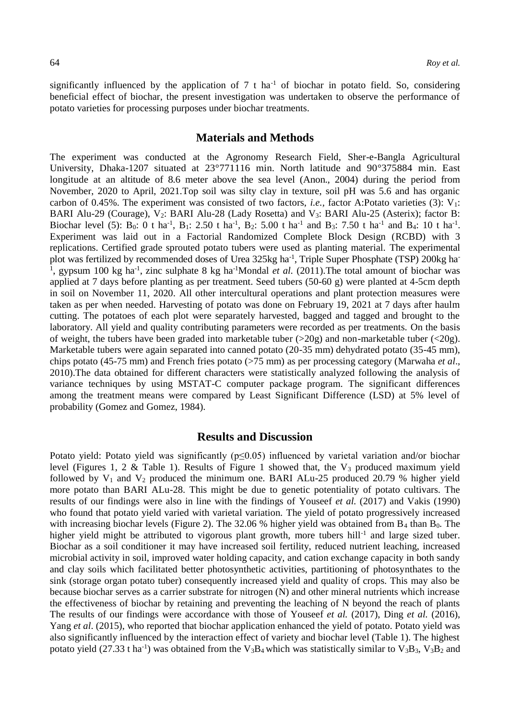significantly influenced by the application of  $7 \text{ t}$  ha<sup>-1</sup> of biochar in potato field. So, considering beneficial effect of biochar, the present investigation was undertaken to observe the performance of potato varieties for processing purposes under biochar treatments.

# **Materials and Methods**

The experiment was conducted at the Agronomy Research Field, Sher-e-Bangla Agricultural University, Dhaka-1207 situated at 23°771116 min. North latitude and 90°375884 min. East longitude at an altitude of 8.6 meter above the sea level (Anon., 2004) during the period from November, 2020 to April, 2021.Top soil was silty clay in texture, soil pH was 5.6 and has organic carbon of 0.45%. The experiment was consisted of two factors, *i.e.*, factor A:Potato varieties (3): V<sub>1</sub>: BARI Alu-29 (Courage), V<sub>2</sub>: BARI Alu-28 (Lady Rosetta) and V<sub>3</sub>: BARI Alu-25 (Asterix); factor B: Biochar level (5):  $B_0$ : 0 t ha<sup>-1</sup>,  $B_1$ : 2.50 t ha<sup>-1</sup>,  $B_2$ : 5.00 t ha<sup>-1</sup> and  $B_3$ : 7.50 t ha<sup>-1</sup> and  $B_4$ : 10 t ha<sup>-1</sup>. Experiment was laid out in a Factorial Randomized Complete Block Design (RCBD) with 3 replications. Certified grade sprouted potato tubers were used as planting material. The experimental plot was fertilized by recommended doses of Urea 325kg ha<sup>-1</sup>, Triple Super Phosphate (TSP) 200kg ha<sup>-1</sup> <sup>1</sup>, gypsum 100 kg ha<sup>-1</sup>, zinc sulphate 8 kg ha<sup>-1</sup>Mondal *et al.* (2011). The total amount of biochar was applied at 7 days before planting as per treatment. Seed tubers (50-60 g) were planted at 4-5cm depth in soil on November 11, 2020. All other intercultural operations and plant protection measures were taken as per when needed. Harvesting of potato was done on February 19, 2021 at 7 days after haulm cutting. The potatoes of each plot were separately harvested, bagged and tagged and brought to the laboratory. All yield and quality contributing parameters were recorded as per treatments. On the basis of weight, the tubers have been graded into marketable tuber ( $>20g$ ) and non-marketable tuber ( $<20g$ ). Marketable tubers were again separated into canned potato (20-35 mm) dehydrated potato (35-45 mm), chips potato (45-75 mm) and French fries potato (>75 mm) as per processing category (Marwaha *et al*., 2010).The data obtained for different characters were statistically analyzed following the analysis of variance techniques by using MSTAT-C computer package program. The significant differences among the treatment means were compared by Least Significant Difference (LSD) at 5% level of probability (Gomez and Gomez, 1984).

### **Results and Discussion**

Potato yield: Potato yield was significantly ( $p \le 0.05$ ) influenced by varietal variation and/or biochar level (Figures 1, 2 & Table 1). Results of Figure 1 showed that, the  $V_3$  produced maximum yield followed by  $V_1$  and  $V_2$  produced the minimum one. BARI ALu-25 produced 20.79 % higher yield more potato than BARI ALu-28. This might be due to genetic potentiality of potato cultivars. The results of our findings were also in line with the findings of Youseef *et al.* (2017) and Vakis (1990) who found that potato yield varied with varietal variation. The yield of potato progressively increased with increasing biochar levels (Figure 2). The  $32.06\%$  higher yield was obtained from  $B_4$  than  $B_0$ . The higher yield might be attributed to vigorous plant growth, more tubers hill<sup>-1</sup> and large sized tuber. Biochar as a soil conditioner it may have increased soil fertility, reduced nutrient leaching, increased microbial activity in soil, improved water holding capacity, and cation exchange capacity in both sandy and clay soils which facilitated better photosynthetic activities, partitioning of photosynthates to the sink (storage organ potato tuber) consequently increased yield and quality of crops. This may also be because biochar serves as a carrier substrate for nitrogen (N) and other mineral nutrients which increase the effectiveness of biochar by retaining and preventing the leaching of N beyond the reach of plants The results of our findings were accordance with those of Youseef *et al.* (2017), Ding *et al.* (2016), Yang *et al*. (2015), who reported that biochar application enhanced the yield of potato. Potato yield was also significantly influenced by the interaction effect of variety and biochar level (Table 1). The highest potato yield (27.33 t ha<sup>-1</sup>) was obtained from the V<sub>3</sub>B<sub>4</sub> which was statistically similar to V<sub>3</sub>B<sub>3</sub>, V<sub>3</sub>B<sub>2</sub> and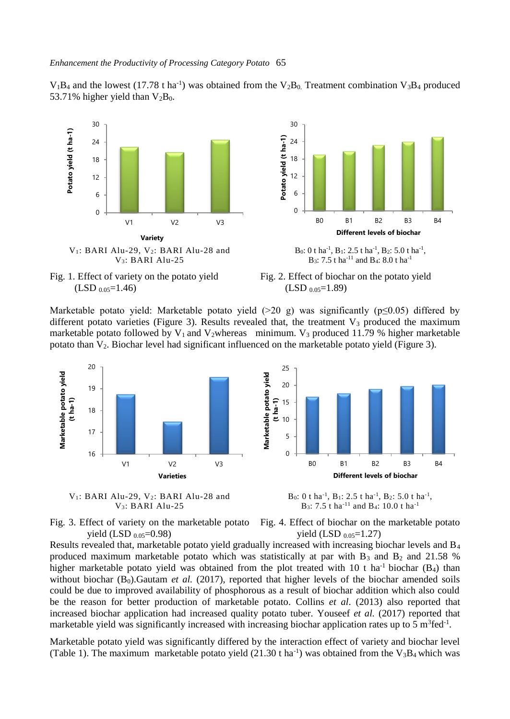$V_1B_4$  and the lowest (17.78 t ha<sup>-1</sup>) was obtained from the  $V_2B_0$ . Treatment combination  $V_3B_4$  produced 53.71% higher yield than  $V_2B_0$ .











Marketable potato yield: Marketable potato yield  $(>20 \text{ g})$  was significantly (p $\leq 0.05$ ) differed by different potato varieties (Figure 3). Results revealed that, the treatment  $V_3$  produced the maximum marketable potato followed by  $V_1$  and  $V_2$ whereas minimum.  $V_3$  produced 11.79 % higher marketable potato than  $V_2$ . Biochar level had significant influenced on the marketable potato yield (Figure 3).







B<sub>0</sub>: 0 t ha<sup>-1</sup>, B<sub>1</sub>: 2.5 t ha<sup>-1</sup>, B<sub>2</sub>: 5.0 t ha<sup>-1</sup>, B<sub>3</sub>: 7.5 t ha<sup>-11</sup> and B<sub>4</sub>: 10.0 t ha<sup>-1</sup>



Fig. 4. Effect of biochar on the marketable potato yield (LSD  $_{0.05}$ =1.27)

Results revealed that, marketable potato yield gradually increased with increasing biochar levels and B<sup>4</sup> produced maximum marketable potato which was statistically at par with  $B_3$  and  $B_2$  and 21.58 % higher marketable potato yield was obtained from the plot treated with 10 t ha<sup>-1</sup> biochar ( $B_4$ ) than without biochar  $(B_0)$ . Gautam *et al.* (2017), reported that higher levels of the biochar amended soils could be due to improved availability of phosphorous as a result of biochar addition which also could be the reason for better production of marketable potato. Collins *et al*. (2013) also reported that increased biochar application had increased quality potato tuber. Youseef *et al.* (2017) reported that marketable yield was significantly increased with increasing biochar application rates up to 5 m<sup>3</sup>fed<sup>-1</sup>.

Marketable potato yield was significantly differed by the interaction effect of variety and biochar level (Table 1). The maximum marketable potato yield  $(21.30 \text{ t} \text{ ha}^{-1})$  was obtained from the  $V_3B_4$  which was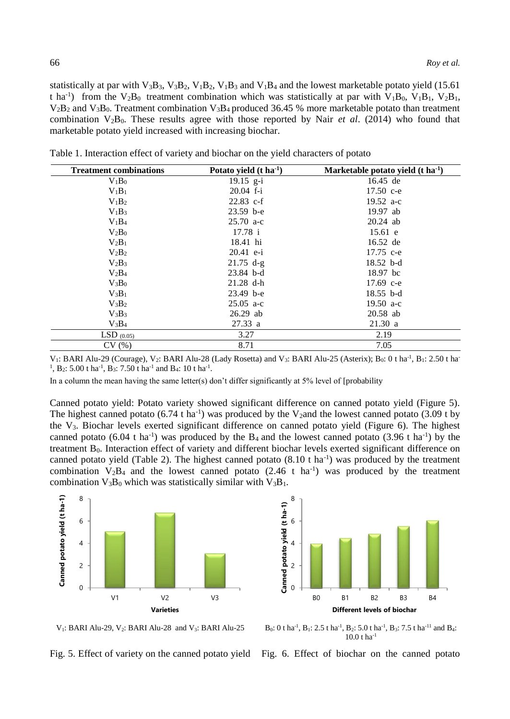statistically at par with  $V_3B_3$ ,  $V_3B_2$ ,  $V_1B_2$ ,  $V_1B_3$  and  $V_1B_4$  and the lowest marketable potato yield (15.61) t ha<sup>-1</sup>) from the V<sub>2</sub>B<sub>0</sub> treatment combination which was statistically at par with V<sub>1</sub>B<sub>0</sub>, V<sub>1</sub>B<sub>1</sub>, V<sub>2</sub>B<sub>1</sub>,  $V_2B_2$  and  $V_3B_0$ . Treatment combination  $V_3B_4$  produced 36.45 % more marketable potato than treatment combination  $V_2B_0$ . These results agree with those reported by Nair *et al.* (2014) who found that marketable potato yield increased with increasing biochar.

| <b>Treatment combinations</b> | Potato yield $(t \text{ ha}^{-1})$ | Marketable potato yield $(t \text{ ha}^{-1})$ |  |
|-------------------------------|------------------------------------|-----------------------------------------------|--|
| $V_1B_0$                      | $19.15$ g-i                        | 16.45 de                                      |  |
| $V_1B_1$                      | $20.04$ f-i                        | 17.50 c-e                                     |  |
| $V_1B_2$                      | $22.83$ c-f                        | 19.52 $a-c$                                   |  |
| $V_1B_3$                      | $23.59$ b-e                        | 19.97 ab                                      |  |
| $V_1B_4$                      | $25.70 a-c$                        | $20.24$ ab                                    |  |
| $V_2B_0$                      | 17.78 i                            | 15.61 e                                       |  |
| $V_2B_1$                      | 18.41 hi                           | 16.52 de                                      |  |
| $V_2B_2$                      | $20.41$ e-i                        | 17.75 c-e                                     |  |
| $V_2B_3$                      | $21.75$ d-g                        | $18.52$ b-d                                   |  |
| $V_2B_4$                      | $23.84$ b-d                        | 18.97 bc                                      |  |
| $V_3B_0$                      | $21.28$ d-h                        | 17.69 $c-e$                                   |  |
| $V_3B_1$                      | $23.49$ b-e                        | $18.55$ b-d                                   |  |
| $V_3B_2$                      | $25.05$ a-c                        | 19.50 $a-c$                                   |  |
| $V_3B_3$                      | $26.29$ ab                         | 20.58 ab                                      |  |
| $V_3B_4$                      | 27.33 a                            | 21.30 a                                       |  |
| $LSD$ (0.05)                  | 3.27                               | 2.19                                          |  |
| CV(%)                         | 8.71                               | 7.05                                          |  |

Table 1. Interaction effect of variety and biochar on the yield characters of potato

V<sub>1</sub>: BARI Alu-29 (Courage), V<sub>2</sub>: BARI Alu-28 (Lady Rosetta) and V<sub>3</sub>: BARI Alu-25 (Asterix); B<sub>0</sub>: 0 t ha<sup>-1</sup>, B<sub>1</sub>: 2.50 t ha <sup>1</sup>, B<sub>2</sub>: 5.00 t ha<sup>-1</sup>, B<sub>3</sub>: 7.50 t ha<sup>-1</sup> and B<sub>4</sub>: 10 t ha<sup>-1</sup>.

In a column the mean having the same letter(s) don't differ significantly at 5% level of [probability

Canned potato yield: Potato variety showed significant difference on canned potato yield (Figure 5). The highest canned potato  $(6.74 \text{ tha}^{-1})$  was produced by the V<sub>2</sub>and the lowest canned potato  $(3.09 \text{ t by}$ the V3. Biochar levels exerted significant difference on canned potato yield (Figure 6). The highest canned potato (6.04 t ha<sup>-1</sup>) was produced by the  $B_4$  and the lowest canned potato (3.96 t ha<sup>-1</sup>) by the treatment  $B_0$ . Interaction effect of variety and different biochar levels exerted significant difference on canned potato yield (Table 2). The highest canned potato  $(8.10 \text{ t} \text{ ha}^{-1})$  was produced by the treatment combination  $V_2B_4$  and the lowest canned potato (2.46 t ha<sup>-1</sup>) was produced by the treatment combination  $V_3B_0$  which was statistically similar with  $V_3B_1$ .





 $V_1$ : BARI Alu-29,  $V_2$ : BARI Alu-28 and  $V_3$ : BARI Alu-25

 $B_0$ : 0 t ha<sup>-1</sup>,  $B_1$ : 2.5 t ha<sup>-1</sup>,  $B_2$ : 5.0 t ha<sup>-1</sup>,  $B_3$ : 7.5 t ha<sup>-11</sup> and  $B_4$ :  $10.0 t$  ha<sup>-1</sup> Fig. 6. Effect of biochar on the canned potato

Fig. 5. Effect of variety on the canned potato yield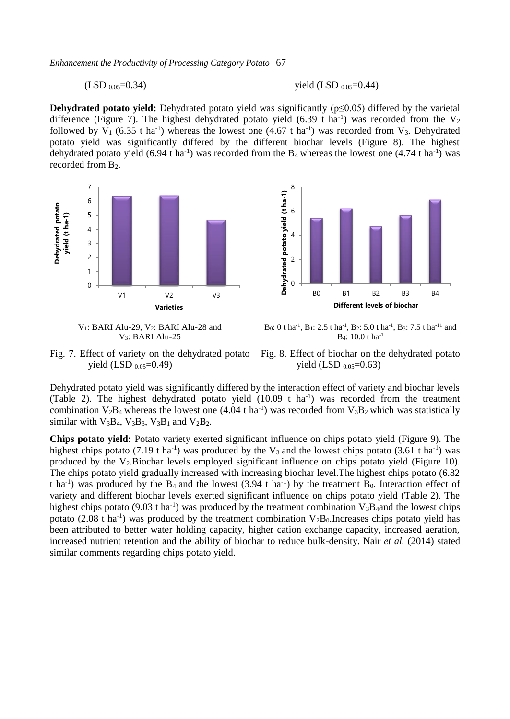*Enhancement the Productivity of Processing Category Potato* 67

 $(LSD_{0.05} = 0.34)$  yield  $(LSD_{0.05} = 0.44)$ 

**Dehydrated potato yield:** Dehydrated potato yield was significantly (p≤0.05) differed by the varietal difference (Figure 7). The highest dehydrated potato yield (6.39 t ha<sup>-1</sup>) was recorded from the  $V_2$ followed by  $V_1$  (6.35 t ha<sup>-1</sup>) whereas the lowest one (4.67 t ha<sup>-1</sup>) was recorded from  $V_3$ . Dehydrated potato yield was significantly differed by the different biochar levels (Figure 8). The highest dehydrated potato yield  $(6.94 \text{ t} \text{ ha}^{-1})$  was recorded from the  $B_4$  whereas the lowest one  $(4.74 \text{ t} \text{ ha}^{-1})$  was recorded from B<sub>2</sub>.



 $V_1$ : BARI Alu-29,  $V_2$ : BARI Alu-28 and V3: BARI Alu-25



B<sub>0</sub>: 0 t ha<sup>-1</sup>, B<sub>1</sub>: 2.5 t ha<sup>-1</sup>, B<sub>2</sub>: 5.0 t ha<sup>-1</sup>, B<sub>3</sub>: 7.5 t ha<sup>-11</sup> and B4: 10.0 t ha-1

Fig. 7. Effect of variety on the dehydrated potato yield (LSD  $_{0.05}$ =0.49)

Fig. 8. Effect of biochar on the dehydrated potato yield (LSD  $_{0.05}$ =0.63)

Dehydrated potato yield was significantly differed by the interaction effect of variety and biochar levels (Table 2). The highest dehydrated potato yield  $(10.09 \text{ t} \text{ ha}^{-1})$  was recorded from the treatment combination  $V_2B_4$  whereas the lowest one (4.04 t ha<sup>-1</sup>) was recorded from  $V_3B_2$  which was statistically similar with  $V_3B_4$ ,  $V_3B_3$ ,  $V_3B_1$  and  $V_2B_2$ .

**Chips potato yield:** Potato variety exerted significant influence on chips potato yield (Figure 9). The highest chips potato (7.19 t ha<sup>-1</sup>) was produced by the  $V_3$  and the lowest chips potato (3.61 t ha<sup>-1</sup>) was produced by the  $V_2$ .Biochar levels employed significant influence on chips potato yield (Figure 10). The chips potato yield gradually increased with increasing biochar level.The highest chips potato (6.82 t ha<sup>-1</sup>) was produced by the  $B_4$  and the lowest (3.94 t ha<sup>-1</sup>) by the treatment  $B_0$ . Interaction effect of variety and different biochar levels exerted significant influence on chips potato yield (Table 2). The highest chips potato (9.03 t ha<sup>-1</sup>) was produced by the treatment combination  $V_3B_4$  and the lowest chips potato (2.08 t ha<sup>-1</sup>) was produced by the treatment combination  $V_2B_0$ . Increases chips potato yield has been attributed to better water holding capacity, higher cation exchange capacity, increased aeration, increased nutrient retention and the ability of biochar to reduce bulk-density. Nair *et al.* (2014) stated similar comments regarding chips potato yield.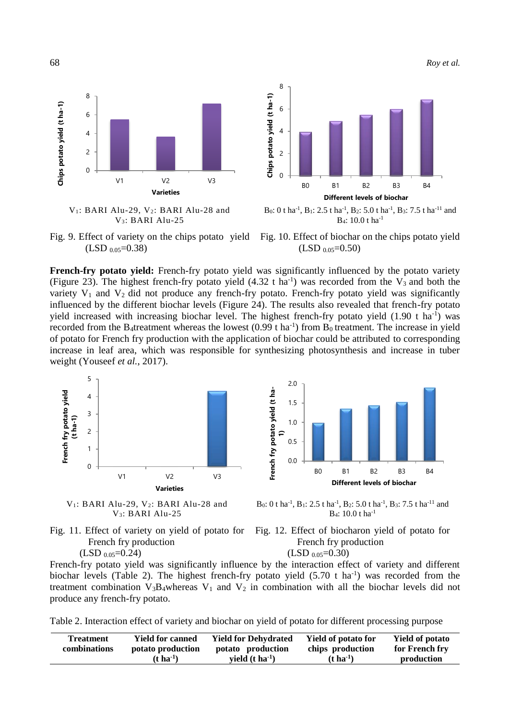68 *Roy et al.*







B<sub>0</sub>: 0 t ha<sup>-1</sup>, B<sub>1</sub>: 2.5 t ha<sup>-1</sup>, B<sub>2</sub>: 5.0 t ha<sup>-1</sup>, B<sub>3</sub>: 7.5 t ha<sup>-11</sup> and B4: 10.0 t ha-1

Fig. 9. Effect of variety on the chips potato yield  $(LSD_{0.05} = 0.38)$ 



**French-fry potato yield:** French-fry potato yield was significantly influenced by the potato variety (Figure 23). The highest french-fry potato yield  $(4.32 \text{ t} \text{ ha}^{-1})$  was recorded from the V<sub>3</sub> and both the variety  $V_1$  and  $V_2$  did not produce any french-fry potato. French-fry potato yield was significantly influenced by the different biochar levels (Figure 24). The results also revealed that french-fry potato yield increased with increasing biochar level. The highest french-fry potato yield  $(1.90 \text{ t} \text{ ha}^{-1})$  was recorded from the B<sub>4</sub>treatment whereas the lowest  $(0.99 \text{ t} \text{ ha}^{-1})$  from B<sub>0</sub> treatment. The increase in yield of potato for French fry production with the application of biochar could be attributed to corresponding increase in leaf area, which was responsible for synthesizing photosynthesis and increase in tuber weight (Youseef *et al.*, 2017).







B<sub>0</sub>: 0 t ha<sup>-1</sup>, B<sub>1</sub>: 2.5 t ha<sup>-1</sup>, B<sub>2</sub>: 5.0 t ha<sup>-1</sup>, B<sub>3</sub>: 7.5 t ha<sup>-11</sup> and B4: 10.0 t ha-1

Fig. 11. Effect of variety on yield of potato for French fry production





French-fry potato yield was significantly influence by the interaction effect of variety and different biochar levels (Table 2). The highest french-fry potato yield  $(5.70 \text{ t} \text{ ha}^{-1})$  was recorded from the treatment combination  $V_3B_4$ whereas  $V_1$  and  $V_2$  in combination with all the biochar levels did not produce any french-fry potato.

Table 2. Interaction effect of variety and biochar on yield of potato for different processing purpose

| <b>Treatment</b> | <b>Yield for canned</b> | <b>Yield for Dehydrated</b> | <b>Yield of potato for</b> | <b>Yield of potato</b> |
|------------------|-------------------------|-----------------------------|----------------------------|------------------------|
| combinations     | potato production       | potato production           | chips production           | for French fry         |
|                  | $(t \text{ ha}^{-1})$   | vield $(t \, ha^{-1})$      | $(t \, \text{ha}^{-1})$    | production             |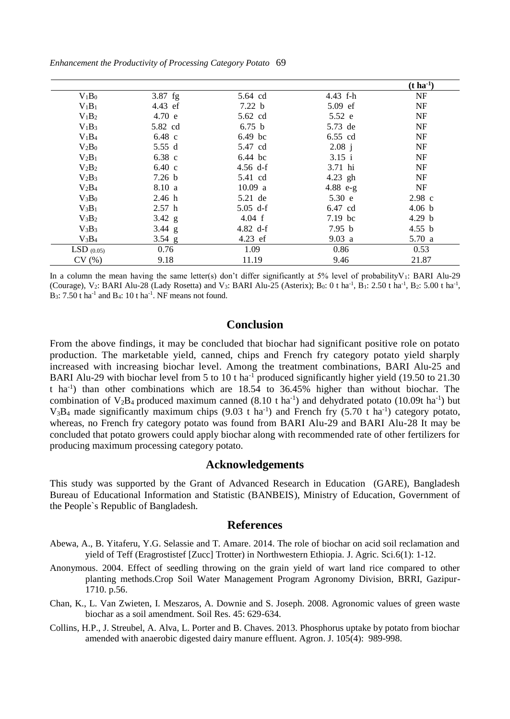*Enhancement the Productivity of Processing Category Potato* 69

|              |                   |            |            | $(t \, ha^{-1})$  |
|--------------|-------------------|------------|------------|-------------------|
| $V_1B_0$     | $3.87$ fg         | 5.64 cd    | 4.43 f-h   | NF                |
| $V_1B_1$     | 4.43 ef           | 7.22 b     | 5.09 ef    | NF                |
| $V_1B_2$     | 4.70 e            | 5.62 cd    | 5.52 e     | NF                |
| $V_1B_3$     | 5.82 cd           | 6.75 b     | 5.73 de    | NF                |
| $V_1B_4$     | 6.48 c            | 6.49 bc    | 6.55 cd    | NF                |
| $V_2B_0$     | 5.55 d            | 5.47 cd    | 2.08 i     | NF                |
| $V_2B_1$     | 6.38 c            | 6.44 bc    | 3.15 i     | NF                |
| $V_2B_2$     | $6.40 \text{ c}$  | 4.56 $d-f$ | 3.71 hi    | NF                |
| $V_2B_3$     | 7.26 <sub>b</sub> | 5.41 cd    | $4.23$ gh  | <b>NF</b>         |
| $V_2B_4$     | 8.10 a            | 10.09 a    | $4.88$ e-g | NF                |
| $V_3B_0$     | 2.46 h            | 5.21 de    | 5.30 e     | $2.98 \text{ c}$  |
| $V_3B_1$     | 2.57 h            | $5.05$ d-f | 6.47 cd    | 4.06 b            |
| $V_3B_2$     | 3.42 $g$          | 4.04 f     | $7.19$ bc  | 4.29 <sub>b</sub> |
| $V_3B_3$     | 3.44 g            | 4.82 $d-f$ | 7.95 b     | 4.55 b            |
| $V_3B_4$     | $3.54\ g$         | $4.23$ ef  | 9.03 a     | 5.70a             |
| $LSD$ (0.05) | 0.76              | 1.09       | 0.86       | 0.53              |
| CV(%)        | 9.18              | 11.19      | 9.46       | 21.87             |

In a column the mean having the same letter(s) don't differ significantly at  $5\%$  level of probabilityV<sub>1</sub>: BARI Alu-29 (Courage), V<sub>2</sub>: BARI Alu-28 (Lady Rosetta) and V<sub>3</sub>: BARI Alu-25 (Asterix); B<sub>0</sub>: 0 t ha<sup>-1</sup>, B<sub>1</sub>: 2.50 t ha<sup>-1</sup>, B<sub>2</sub>: 5.00 t ha<sup>-1</sup>,  $B_3$ : 7.50 t ha<sup>-1</sup> and  $B_4$ : 10 t ha<sup>-1</sup>. NF means not found.

# **Conclusion**

From the above findings, it may be concluded that biochar had significant positive role on potato production. The marketable yield, canned, chips and French fry category potato yield sharply increased with increasing biochar level. Among the treatment combinations, BARI Alu-25 and BARI Alu-29 with biochar level from 5 to 10 t ha<sup>-1</sup> produced significantly higher yield (19.50 to 21.30) t ha-1 ) than other combinations which are 18.54 to 36.45% higher than without biochar. The combination of  $V_2B_4$  produced maximum canned (8.10 t ha<sup>-1</sup>) and dehydrated potato (10.09t ha<sup>-1</sup>) but  $V_3B_4$  made significantly maximum chips (9.03 t ha<sup>-1</sup>) and French fry (5.70 t ha<sup>-1</sup>) category potato, whereas, no French fry category potato was found from BARI Alu-29 and BARI Alu-28 It may be concluded that potato growers could apply biochar along with recommended rate of other fertilizers for producing maximum processing category potato.

#### **Acknowledgements**

This study was supported by the Grant of Advanced Research in Education (GARE), Bangladesh Bureau of Educational Information and Statistic (BANBEIS), Ministry of Education, Government of the People`s Republic of Bangladesh.

#### **References**

- Abewa, A., B. Yitaferu, Y.G. Selassie and T. Amare. 2014. The role of biochar on acid soil reclamation and yield of Teff (Eragrostistef [Zucc] Trotter) in Northwestern Ethiopia. J. Agric. Sci.6(1): 1-12.
- Anonymous. 2004. Effect of seedling throwing on the grain yield of wart land rice compared to other planting methods.Crop Soil Water Management Program Agronomy Division, BRRI, Gazipur-1710. p.56.
- Chan, K., L. Van Zwieten, I. Meszaros, A. Downie and S. Joseph. 2008. Agronomic values of green waste biochar as a soil amendment. Soil Res. 45: 629-634.
- Collins, H.P., J. Streubel, A. Alva, L. Porter and B. Chaves. 2013. Phosphorus uptake by potato from biochar amended with anaerobic digested dairy manure effluent. Agron. J. 105(4): 989-998.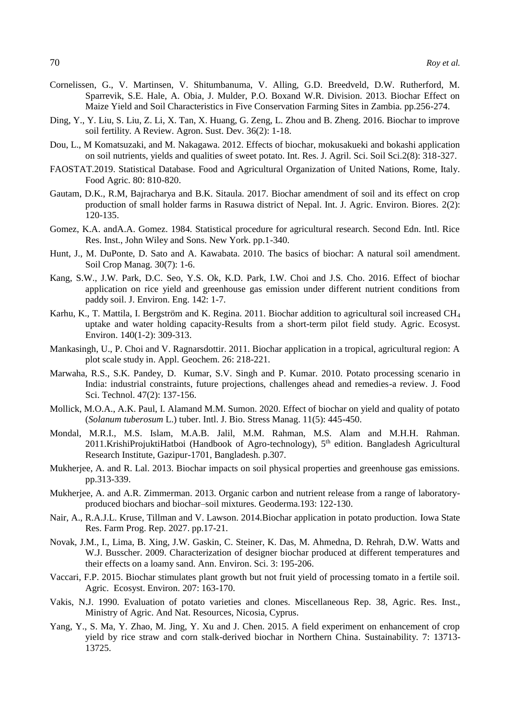- Cornelissen, G., V. Martinsen, V. Shitumbanuma, V. Alling, G.D. Breedveld, D.W. Rutherford, M. Sparrevik, S.E. Hale, A. Obia, J. Mulder, P.O. Boxand W.R. Division. 2013. Biochar Effect on Maize Yield and Soil Characteristics in Five Conservation Farming Sites in Zambia. pp.256-274.
- Ding, Y., Y. Liu, S. Liu, Z. Li, X. Tan, X. Huang, G. Zeng, L. Zhou and B. Zheng. 2016. Biochar to improve soil fertility. A Review. Agron. Sust. Dev. 36(2): 1-18.
- Dou, L., M Komatsuzaki, and M. Nakagawa. 2012. Effects of biochar, mokusakueki and bokashi application on soil nutrients, yields and qualities of sweet potato. Int. Res. J. Agril. Sci. Soil Sci.2(8): 318-327.
- FAOSTAT.2019. Statistical Database. Food and Agricultural Organization of United Nations, Rome, Italy. Food Agric. 80: 810-820.
- Gautam, D.K., R.M, Bajracharya and B.K. Sitaula. 2017. Biochar amendment of soil and its effect on crop production of small holder farms in Rasuwa district of Nepal. Int. J. Agric. Environ. Biores. 2(2): 120-135.
- Gomez, K.A. andA.A. Gomez. 1984. Statistical procedure for agricultural research. Second Edn. Intl. Rice Res. Inst., John Wiley and Sons. New York. pp.1-340.
- Hunt, J., M. DuPonte, D. Sato and A. Kawabata. 2010. The basics of biochar: A natural soil amendment. Soil Crop Manag. 30(7): 1-6.
- Kang, S.W., J.W. Park, D.C. Seo, Y.S. Ok, K.D. Park, I.W. Choi and J.S. Cho. 2016. Effect of biochar application on rice yield and greenhouse gas emission under different nutrient conditions from paddy soil. J. Environ. Eng. 142: 1-7.
- Karhu, K., T. Mattila, I. Bergström and K. Regina. 2011. Biochar addition to agricultural soil increased CH<sup>4</sup> uptake and water holding capacity-Results from a short-term pilot field study. Agric. Ecosyst. Environ. 140(1-2): 309-313.
- Mankasingh, U., P. Choi and V. Ragnarsdottir. 2011. Biochar application in a tropical, agricultural region: A plot scale study in. Appl. Geochem. 26: 218-221.
- Marwaha, R.S., S.K. Pandey, D. Kumar, S.V. Singh and P. Kumar. 2010. Potato processing scenario in India: industrial constraints, future projections, challenges ahead and remedies-a review. J. Food Sci. Technol. 47(2): 137-156.
- Mollick, M.O.A., A.K. Paul, I. Alamand M.M. Sumon. 2020. Effect of biochar on yield and quality of potato (*Solanum tuberosum* L.) tuber. Intl. J. Bio. Stress Manag. 11(5): 445-450.
- Mondal, M.R.I., M.S. Islam, M.A.B. Jalil, M.M. Rahman, M.S. Alam and M.H.H. Rahman. 2011.KrishiProjuktiHatboi (Handbook of Agro-technology), 5<sup>th</sup> edition. Bangladesh Agricultural Research Institute, Gazipur-1701, Bangladesh. p.307.
- Mukherjee, A. and R. Lal. 2013. Biochar impacts on soil physical properties and greenhouse gas emissions. pp.313-339.
- Mukherjee, A. and A.R. Zimmerman. 2013. Organic carbon and nutrient release from a range of laboratoryproduced biochars and biochar–soil mixtures. Geoderma.193: 122-130.
- Nair, A., R.A.J.L. Kruse, Tillman and V. Lawson. 2014.Biochar application in potato production. Iowa State Res. Farm Prog. Rep. 2027. pp.17-21.
- Novak, J.M., I., Lima, B. Xing, J.W. Gaskin, C. Steiner, K. Das, M. Ahmedna, D. Rehrah, D.W. Watts and W.J. Busscher. 2009. Characterization of designer biochar produced at different temperatures and their effects on a loamy sand. Ann. Environ. Sci. 3: 195-206.
- Vaccari, F.P. 2015. Biochar stimulates plant growth but not fruit yield of processing tomato in a fertile soil. Agric. Ecosyst. Environ. 207: 163-170.
- Vakis, N.J. 1990. Evaluation of potato varieties and clones. Miscellaneous Rep. 38, Agric. Res. Inst., Ministry of Agric. And Nat. Resources, Nicosia, Cyprus.
- Yang, Y., S. Ma, Y. Zhao, M. Jing, Y. Xu and J. Chen. 2015. A field experiment on enhancement of crop yield by rice straw and corn stalk-derived biochar in Northern China. Sustainability. 7: 13713- 13725.